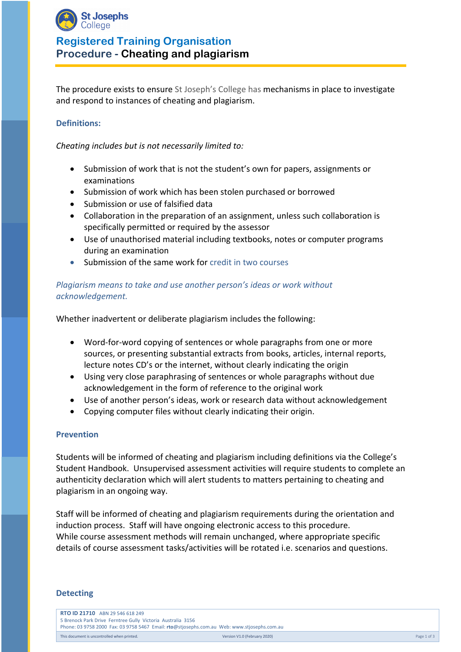

# **Registered Training Organisation Procedure - Cheating and plagiarism**

The procedure exists to ensure St Joseph's College has mechanisms in place to investigate and respond to instances of cheating and plagiarism.

### **Definitions:**

*Cheating includes but is not necessarily limited to:*

- Submission of work that is not the student's own for papers, assignments or examinations
- Submission of work which has been stolen purchased or borrowed
- Submission or use of falsified data
- Collaboration in the preparation of an assignment, unless such collaboration is specifically permitted or required by the assessor
- Use of unauthorised material including textbooks, notes or computer programs during an examination
- Submission of the same work for credit in two courses

### *Plagiarism means to take and use another person's ideas or work without acknowledgement.*

Whether inadvertent or deliberate plagiarism includes the following:

- Word-for-word copying of sentences or whole paragraphs from one or more sources, or presenting substantial extracts from books, articles, internal reports, lecture notes CD's or the internet, without clearly indicating the origin
- Using very close paraphrasing of sentences or whole paragraphs without due acknowledgement in the form of reference to the original work
- Use of another person's ideas, work or research data without acknowledgement
- Copying computer files without clearly indicating their origin.

### **Prevention**

Students will be informed of cheating and plagiarism including definitions via the College's Student Handbook. Unsupervised assessment activities will require students to complete an authenticity declaration which will alert students to matters pertaining to cheating and plagiarism in an ongoing way.

Staff will be informed of cheating and plagiarism requirements during the orientation and induction process. Staff will have ongoing electronic access to this procedure. While course assessment methods will remain unchanged, where appropriate specific details of course assessment tasks/activities will be rotated i.e. scenarios and questions.

### **Detecting**

| <b>RTO ID 21710</b> ABN 29 546 618 249                                                      |                              |             |
|---------------------------------------------------------------------------------------------|------------------------------|-------------|
| 5 Brenock Park Drive Ferntree Gully Victoria Australia 3156                                 |                              |             |
| Phone: 03 9758 2000 Fax: 03 9758 5467 Email: rto@stjosephs.com.au Web: www.stjosephs.com.au |                              |             |
| This document is uncontrolled when printed.                                                 | Version V1.0 (February 2020) | Page 1 of 3 |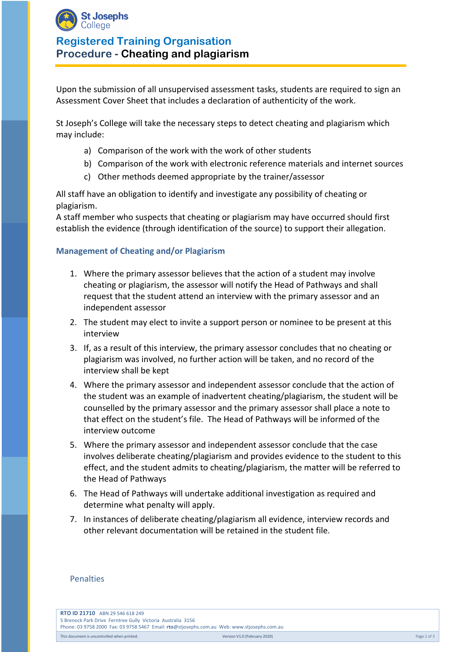

# **Registered Training Organisation Procedure - Cheating and plagiarism**

Upon the submission of all unsupervised assessment tasks, students are required to sign an Assessment Cover Sheet that includes a declaration of authenticity of the work.

St Joseph's College will take the necessary steps to detect cheating and plagiarism which may include:

- a) Comparison of the work with the work of other students
- b) Comparison of the work with electronic reference materials and internet sources
- c) Other methods deemed appropriate by the trainer/assessor

All staff have an obligation to identify and investigate any possibility of cheating or plagiarism.

A staff member who suspects that cheating or plagiarism may have occurred should first establish the evidence (through identification of the source) to support their allegation.

#### **Management of Cheating and/or Plagiarism**

- 1. Where the primary assessor believes that the action of a student may involve cheating or plagiarism, the assessor will notify the Head of Pathways and shall request that the student attend an interview with the primary assessor and an independent assessor
- 2. The student may elect to invite a support person or nominee to be present at this interview
- 3. If, as a result of this interview, the primary assessor concludes that no cheating or plagiarism was involved, no further action will be taken, and no record of the interview shall be kept
- 4. Where the primary assessor and independent assessor conclude that the action of the student was an example of inadvertent cheating/plagiarism, the student will be counselled by the primary assessor and the primary assessor shall place a note to that effect on the student's file. The Head of Pathways will be informed of the interview outcome
- 5. Where the primary assessor and independent assessor conclude that the case involves deliberate cheating/plagiarism and provides evidence to the student to this effect, and the student admits to cheating/plagiarism, the matter will be referred to the Head of Pathways
- 6. The Head of Pathways will undertake additional investigation as required and determine what penalty will apply.
- 7. In instances of deliberate cheating/plagiarism all evidence, interview records and other relevant documentation will be retained in the student file.

#### Penalties